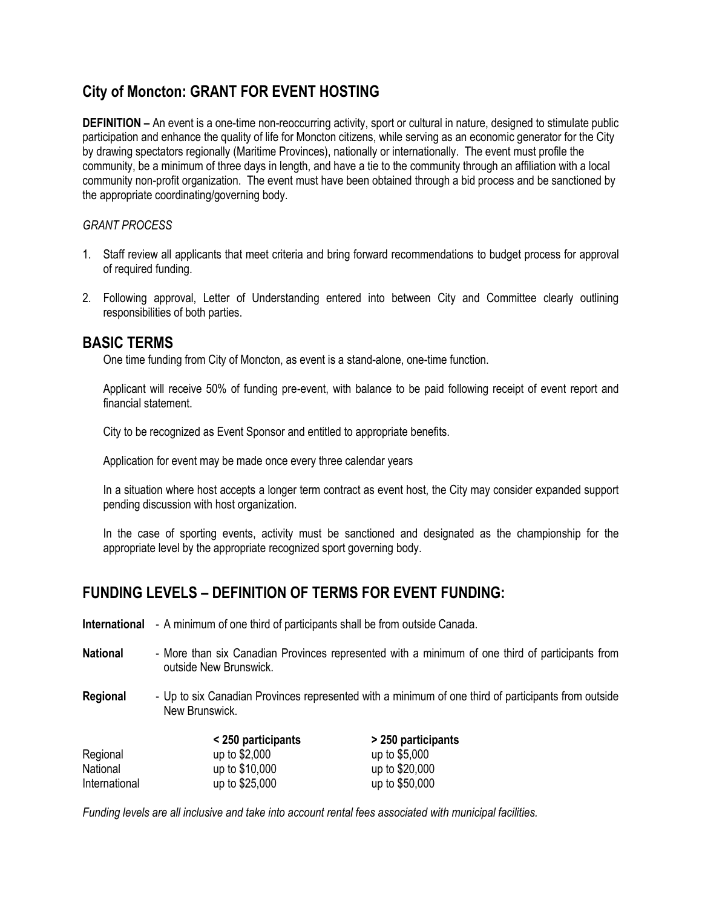# **City of Moncton: GRANT FOR EVENT HOSTING**

**DEFINITION –** An event is a one-time non-reoccurring activity, sport or cultural in nature, designed to stimulate public participation and enhance the quality of life for Moncton citizens, while serving as an economic generator for the City by drawing spectators regionally (Maritime Provinces), nationally or internationally. The event must profile the community, be a minimum of three days in length, and have a tie to the community through an affiliation with a local community non-profit organization. The event must have been obtained through a bid process and be sanctioned by the appropriate coordinating/governing body.

#### *GRANT PROCESS*

- 1. Staff review all applicants that meet criteria and bring forward recommendations to budget process for approval of required funding.
- 2. Following approval, Letter of Understanding entered into between City and Committee clearly outlining responsibilities of both parties.

### **BASIC TERMS**

One time funding from City of Moncton, as event is a stand-alone, one-time function.

Applicant will receive 50% of funding pre-event, with balance to be paid following receipt of event report and financial statement.

City to be recognized as Event Sponsor and entitled to appropriate benefits.

Application for event may be made once every three calendar years

In a situation where host accepts a longer term contract as event host, the City may consider expanded support pending discussion with host organization.

In the case of sporting events, activity must be sanctioned and designated as the championship for the appropriate level by the appropriate recognized sport governing body.

## **FUNDING LEVELS – DEFINITION OF TERMS FOR EVENT FUNDING:**

- **International** A minimum of one third of participants shall be from outside Canada.
- **National** More than six Canadian Provinces represented with a minimum of one third of participants from outside New Brunswick.
- **Regional** Up to six Canadian Provinces represented with a minimum of one third of participants from outside New Brunswick.

|               | <250 participants | > 250 participants |  |
|---------------|-------------------|--------------------|--|
| Regional      | up to $$2,000$    | up to \$5,000      |  |
| National      | up to \$10,000    | up to \$20,000     |  |
| International | up to \$25,000    | up to \$50,000     |  |

*Funding levels are all inclusive and take into account rental fees associated with municipal facilities.*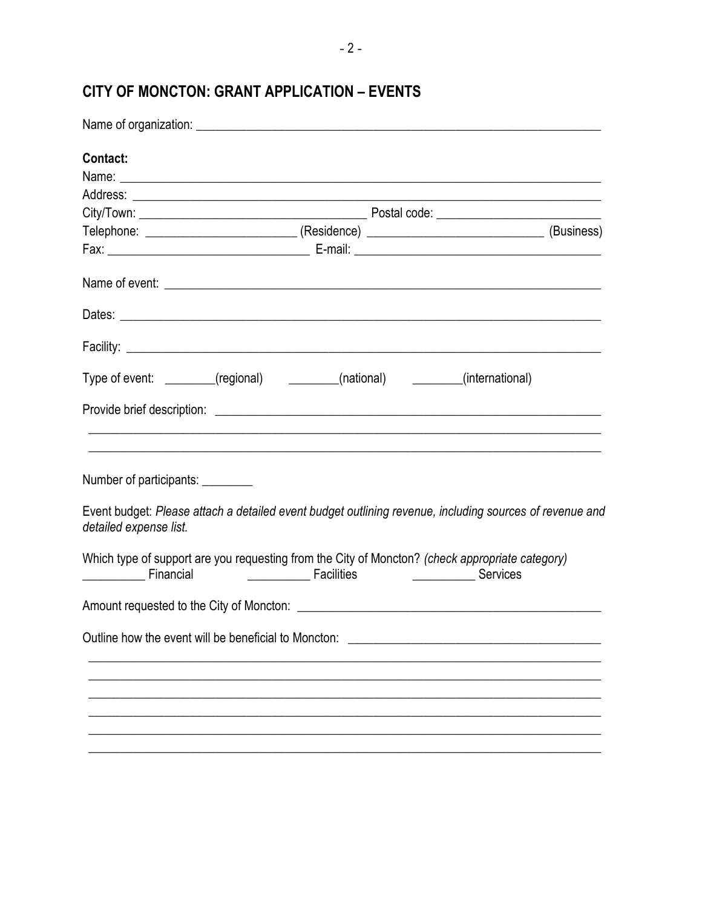# CITY OF MONCTON: GRANT APPLICATION - EVENTS

| Contact:                                                                                                                                     |  |                                                        |  |                                                                                                                                                       |  |
|----------------------------------------------------------------------------------------------------------------------------------------------|--|--------------------------------------------------------|--|-------------------------------------------------------------------------------------------------------------------------------------------------------|--|
|                                                                                                                                              |  |                                                        |  |                                                                                                                                                       |  |
|                                                                                                                                              |  |                                                        |  |                                                                                                                                                       |  |
|                                                                                                                                              |  |                                                        |  |                                                                                                                                                       |  |
| Telephone: ___________________________(Residence) _____________________________(Business)                                                    |  |                                                        |  |                                                                                                                                                       |  |
|                                                                                                                                              |  |                                                        |  |                                                                                                                                                       |  |
|                                                                                                                                              |  |                                                        |  |                                                                                                                                                       |  |
|                                                                                                                                              |  |                                                        |  |                                                                                                                                                       |  |
|                                                                                                                                              |  |                                                        |  |                                                                                                                                                       |  |
| Type of event: _______(regional) ________(national) _______(international)                                                                   |  |                                                        |  |                                                                                                                                                       |  |
|                                                                                                                                              |  |                                                        |  | ,我们也不能在这里的时候,我们也不能在这里的时候,我们也不能在这里的时候,我们也不能会不能会不能会不能会不能会不能会不能会不能会。<br>第2012章 我们的时候,我们的时候,我们的时候,我们的时候,我们的时候,我们的时候,我们的时候,我们的时候,我们的时候,我们的时候,我们的时候,我们的时候,我 |  |
| Number of participants: _________<br>Event budget: Please attach a detailed event budget outlining revenue, including sources of revenue and |  |                                                        |  |                                                                                                                                                       |  |
| detailed expense list.                                                                                                                       |  |                                                        |  |                                                                                                                                                       |  |
| Which type of support are you requesting from the City of Moncton? (check appropriate category)<br>Financial                                 |  | <b>Example 20</b> Facilities <b>CONSIDENT</b> Services |  |                                                                                                                                                       |  |
|                                                                                                                                              |  |                                                        |  |                                                                                                                                                       |  |
| Outline how the event will be beneficial to Moncton:                                                                                         |  |                                                        |  |                                                                                                                                                       |  |
|                                                                                                                                              |  |                                                        |  |                                                                                                                                                       |  |
|                                                                                                                                              |  |                                                        |  |                                                                                                                                                       |  |
|                                                                                                                                              |  |                                                        |  |                                                                                                                                                       |  |